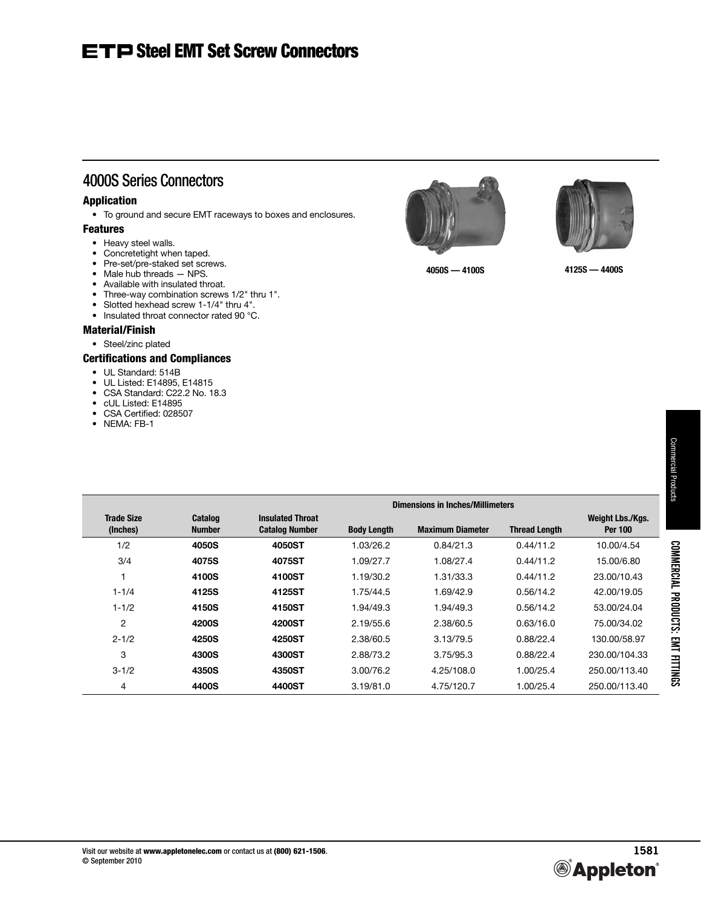# 4000S Series Connectors

### Application

• To ground and secure EMT raceways to boxes and enclosures.

### Features

- Heavy steel walls.
- Concretetight when taped.
- Pre-set/pre-staked set screws.
- Male hub threads NPS.
- Available with insulated throat.
- Three-way combination screws 1/2" thru 1".
- Slotted hexhead screw 1-1/4" thru 4".
- Insulated throat connector rated 90 °C.

## Material/Finish

• Steel/zinc plated

## Certifications and Compliances

- UL Standard: 514B
- UL Listed: E14895, E14815
- CSA Standard: C22.2 No. 18.3
- cUL Listed: E14895
- CSA Certified: 028507
- NEMA: FB-1

|                               |                          | Dimensions in Inches/Millimeters                 |                    |                         |                      |                                    |  |  |  |
|-------------------------------|--------------------------|--------------------------------------------------|--------------------|-------------------------|----------------------|------------------------------------|--|--|--|
| <b>Trade Size</b><br>(Inches) | Catalog<br><b>Number</b> | <b>Insulated Throat</b><br><b>Catalog Number</b> | <b>Body Length</b> | <b>Maximum Diameter</b> | <b>Thread Length</b> | Weight Lbs./Kgs.<br><b>Per 100</b> |  |  |  |
| 1/2                           | 4050S                    | 4050ST                                           | 1.03/26.2          | 0.84/21.3               | 0.44/11.2            | 10.00/4.54                         |  |  |  |
| 3/4                           | 4075S                    | 4075ST                                           | 1.09/27.7          | 1.08/27.4               | 0.44/11.2            | 15.00/6.80                         |  |  |  |
|                               | 4100S                    | 4100ST                                           | 1.19/30.2          | 1.31/33.3               | 0.44/11.2            | 23.00/10.43                        |  |  |  |
| $1 - 1/4$                     | 4125S                    | 4125ST                                           | 1.75/44.5          | 1.69/42.9               | 0.56/14.2            | 42.00/19.05                        |  |  |  |
| $1 - 1/2$                     | 4150S                    | 4150ST                                           | 1.94/49.3          | 1.94/49.3               | 0.56/14.2            | 53.00/24.04                        |  |  |  |
| 2                             | 4200S                    | 4200ST                                           | 2.19/55.6          | 2.38/60.5               | 0.63/16.0            | 75.00/34.02                        |  |  |  |
| $2 - 1/2$                     | 4250S                    | 4250ST                                           | 2.38/60.5          | 3.13/79.5               | 0.88/22.4            | 130.00/58.97                       |  |  |  |
| 3                             | 4300S                    | 4300ST                                           | 2.88/73.2          | 3.75/95.3               | 0.88/22.4            | 230.00/104.33                      |  |  |  |
| $3 - 1/2$                     | 4350S                    | 4350ST                                           | 3.00/76.2          | 4.25/108.0              | 1.00/25.4            | 250.00/113.40                      |  |  |  |
| 4                             | 4400S                    | 4400ST                                           | 3.19/81.0          | 4.75/120.7              | 1.00/25.4            | 250.00/113.40                      |  |  |  |





**4050S — 4100S 4125S — 4400S**

COMMERCIAL PRODUCTS: EMT FITTINGS

**COMMERCIAL PRODUCTS: EMT FITTINGS**